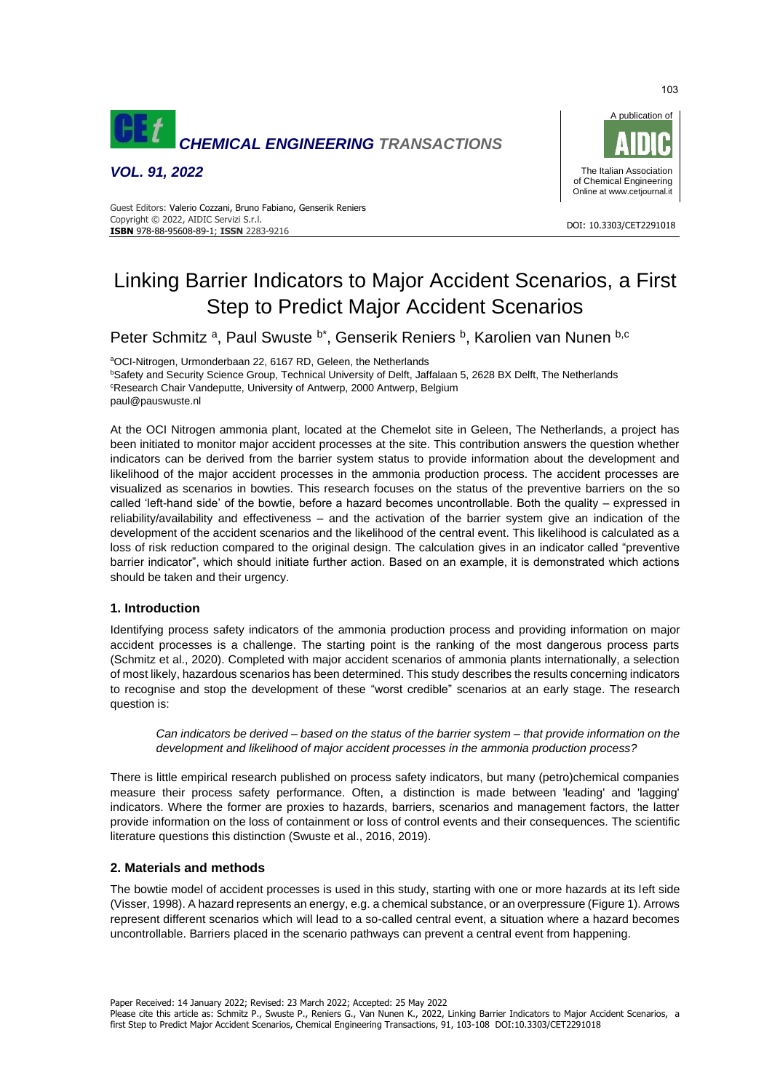

*VOL. 91, 2022*



#### DOI: 10.3303/CET2291018 **ISBN** 978-88-95608-89-1; **ISSN** 2283-9216 Guest Editors: Valerio Cozzani, Bruno Fabiano, Genserik Reniers Copyright © 2022, AIDIC Servizi S.r.l.

# Linking Barrier Indicators to Major Accident Scenarios, a First Step to Predict Major Accident Scenarios

Peter Schmitz<sup>a</sup>, Paul Swuste <sup>b\*</sup>, Genserik Reniers <sup>b</sup>, Karolien van Nunen <sup>b,c</sup>

aOCI-Nitrogen, Urmonderbaan 22, 6167 RD, Geleen, the Netherlands **bSafety and Security Science Group, Technical University of Delft, Jaffalaan 5, 2628 BX Delft, The Netherlands** <sup>c</sup>Research Chair Vandeputte, University of Antwerp, 2000 Antwerp, Belgium paul@pauswuste.nl

At the OCI Nitrogen ammonia plant, located at the Chemelot site in Geleen, The Netherlands, a project has been initiated to monitor major accident processes at the site. This contribution answers the question whether indicators can be derived from the barrier system status to provide information about the development and likelihood of the major accident processes in the ammonia production process. The accident processes are visualized as scenarios in bowties. This research focuses on the status of the preventive barriers on the so called 'left-hand side' of the bowtie, before a hazard becomes uncontrollable. Both the quality – expressed in reliability/availability and effectiveness – and the activation of the barrier system give an indication of the development of the accident scenarios and the likelihood of the central event. This likelihood is calculated as a loss of risk reduction compared to the original design. The calculation gives in an indicator called "preventive barrier indicator", which should initiate further action. Based on an example, it is demonstrated which actions should be taken and their urgency.

## **1. Introduction**

Identifying process safety indicators of the ammonia production process and providing information on major accident processes is a challenge. The starting point is the ranking of the most dangerous process parts (Schmitz et al., 2020). Completed with major accident scenarios of ammonia plants internationally, a selection of most likely, hazardous scenarios has been determined. This study describes the results concerning indicators to recognise and stop the development of these "worst credible" scenarios at an early stage. The research question is:

*Can indicators be derived – based on the status of the barrier system – that provide information on the development and likelihood of major accident processes in the ammonia production process?* 

There is little empirical research published on process safety indicators, but many (petro)chemical companies measure their process safety performance. Often, a distinction is made between 'leading' and 'lagging' indicators. Where the former are proxies to hazards, barriers, scenarios and management factors, the latter provide information on the loss of containment or loss of control events and their consequences. The scientific literature questions this distinction (Swuste et al., 2016, 2019).

## **2. Materials and methods**

The bowtie model of accident processes is used in this study, starting with one or more hazards at its left side (Visser, 1998). A hazard represents an energy, e.g. a chemical substance, or an overpressure (Figure 1). Arrows represent different scenarios which will lead to a so-called central event, a situation where a hazard becomes uncontrollable. Barriers placed in the scenario pathways can prevent a central event from happening.

Paper Received: 14 January 2022; Revised: 23 March 2022; Accepted: 25 May 2022

Please cite this article as: Schmitz P., Swuste P., Reniers G., Van Nunen K., 2022, Linking Barrier Indicators to Major Accident Scenarios, a first Step to Predict Major Accident Scenarios, Chemical Engineering Transactions, 91, 103-108 DOI:10.3303/CET2291018

103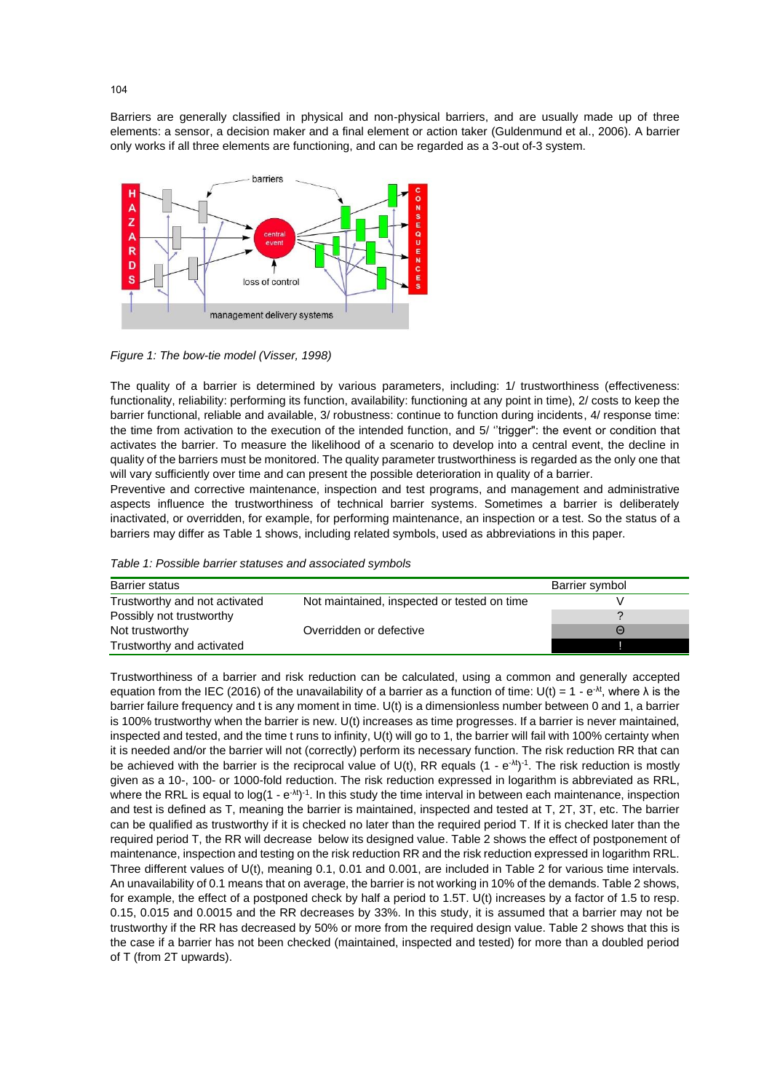Barriers are generally classified in physical and non-physical barriers, and are usually made up of three elements: a sensor, a decision maker and a final element or action taker (Guldenmund et al., 2006). A barrier only works if all three elements are functioning, and can be regarded as a 3-out of-3 system.



*Figure 1: The bow-tie model (Visser, 1998)*

The quality of a barrier is determined by various parameters, including: 1/ trustworthiness (effectiveness: functionality, reliability: performing its function, availability: functioning at any point in time), 2/ costs to keep the barrier functional, reliable and available, 3/ robustness: continue to function during incidents, 4/ response time: the time from activation to the execution of the intended function, and 5/ ''trigger": the event or condition that activates the barrier. To measure the likelihood of a scenario to develop into a central event, the decline in quality of the barriers must be monitored. The quality parameter trustworthiness is regarded as the only one that will vary sufficiently over time and can present the possible deterioration in quality of a barrier.

Preventive and corrective maintenance, inspection and test programs, and management and administrative aspects influence the trustworthiness of technical barrier systems. Sometimes a barrier is deliberately inactivated, or overridden, for example, for performing maintenance, an inspection or a test. So the status of a barriers may differ as Table 1 shows, including related symbols, used as abbreviations in this paper.

|  |  |  | Table 1: Possible barrier statuses and associated symbols |  |  |
|--|--|--|-----------------------------------------------------------|--|--|
|--|--|--|-----------------------------------------------------------|--|--|

| <b>Barrier status</b>         |                                             | Barrier symbol |
|-------------------------------|---------------------------------------------|----------------|
| Trustworthy and not activated | Not maintained, inspected or tested on time |                |
| Possibly not trustworthy      |                                             |                |
| Not trustworthy               | Overridden or defective                     | $\Theta$       |
| Trustworthy and activated     |                                             |                |

Trustworthiness of a barrier and risk reduction can be calculated, using a common and generally accepted equation from the IEC (2016) of the unavailability of a barrier as a function of time: U(t) = 1 - e<sup>- $\lambda$ t</sup>, where  $\lambda$  is the barrier failure frequency and t is any moment in time. U(t) is a dimensionless number between 0 and 1, a barrier is 100% trustworthy when the barrier is new. U(t) increases as time progresses. If a barrier is never maintained, inspected and tested, and the time t runs to infinity, U(t) will go to 1, the barrier will fail with 100% certainty when it is needed and/or the barrier will not (correctly) perform its necessary function. The risk reduction RR that can be achieved with the barrier is the reciprocal value of U(t), RR equals  $(1 - e^{-\lambda t})^{-1}$ . The risk reduction is mostly given as a 10-, 100- or 1000-fold reduction. The risk reduction expressed in logarithm is abbreviated as RRL, where the RRL is equal to  $log(1 - e<sup>-\lambda t</sup>)<sup>-1</sup>$ . In this study the time interval in between each maintenance, inspection and test is defined as T, meaning the barrier is maintained, inspected and tested at T, 2T, 3T, etc. The barrier can be qualified as trustworthy if it is checked no later than the required period T. If it is checked later than the required period T, the RR will decrease below its designed value. Table 2 shows the effect of postponement of maintenance, inspection and testing on the risk reduction RR and the risk reduction expressed in logarithm RRL. Three different values of U(t), meaning 0.1, 0.01 and 0.001, are included in Table 2 for various time intervals. An unavailability of 0.1 means that on average, the barrier is not working in 10% of the demands. Table 2 shows, for example, the effect of a postponed check by half a period to 1.5T. U(t) increases by a factor of 1.5 to resp. 0.15, 0.015 and 0.0015 and the RR decreases by 33%. In this study, it is assumed that a barrier may not be trustworthy if the RR has decreased by 50% or more from the required design value. Table 2 shows that this is the case if a barrier has not been checked (maintained, inspected and tested) for more than a doubled period of T (from 2T upwards).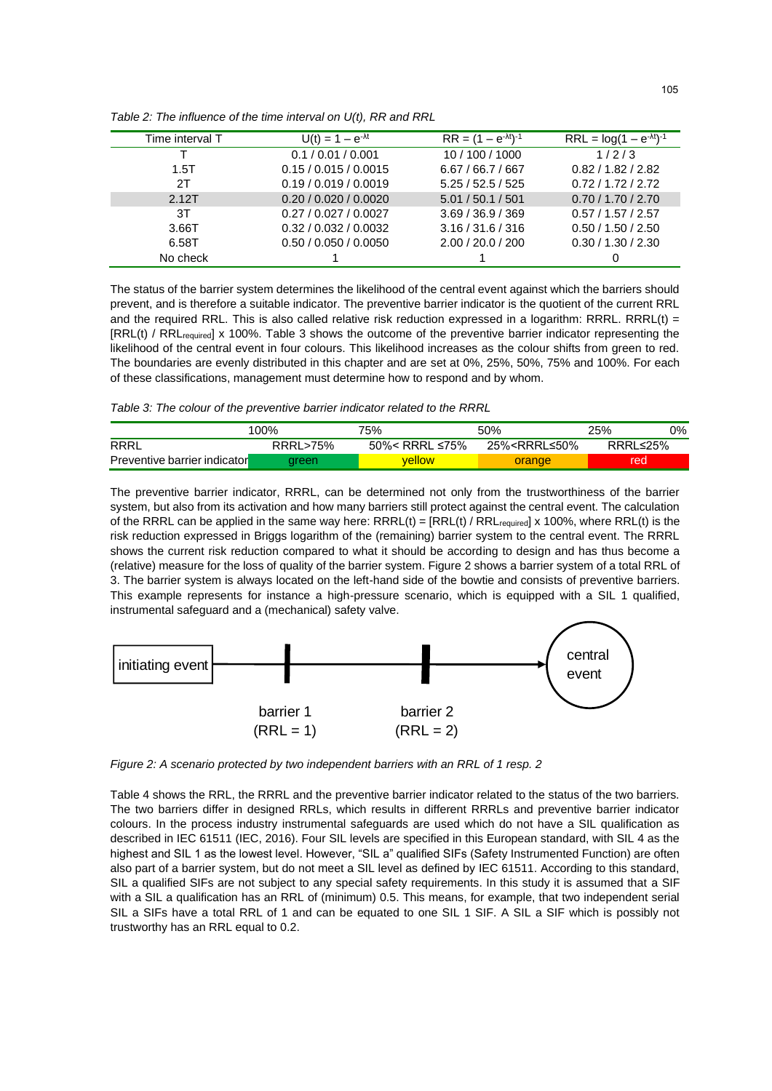| Time interval T | $U(t) = 1 - e^{-\lambda t}$ | $RR = (1 - e-\lambdat)-1$ | $RRL = log(1 - e^{-\lambda t})^{-1}$ |
|-----------------|-----------------------------|---------------------------|--------------------------------------|
|                 | 0.1 / 0.01 / 0.001          | 10 / 100 / 1000           | 1/2/3                                |
| 1.5T            | 0.15 / 0.015 / 0.0015       | 6.67/66.7/667             | 0.82 / 1.82 / 2.82                   |
| 2T              | 0.19 / 0.019 / 0.0019       | 5.25/52.5/525             | 0.72/1.72/2.72                       |
| 2.12T           | 0.20 / 0.020 / 0.0020       | 5.01 / 50.1 / 501         | 0.70 / 1.70 / 2.70                   |
| 3T              | 0.27/0.027/0.0027           | 3.69 / 36.9 / 369         | 0.57 / 1.57 / 2.57                   |
| 3.66T           | 0.32 / 0.032 / 0.0032       | 3.16 / 31.6 / 316         | 0.50 / 1.50 / 2.50                   |
| 6.58T           | 0.50 / 0.050 / 0.0050       | 2.00 / 20.0 / 200         | 0.30 / 1.30 / 2.30                   |
| No check        |                             |                           |                                      |

*Table 2: The influence of the time interval on U(t), RR and RRL*

The status of the barrier system determines the likelihood of the central event against which the barriers should prevent, and is therefore a suitable indicator. The preventive barrier indicator is the quotient of the current RRL and the required RRL. This is also called relative risk reduction expressed in a logarithm: RRRL. RRRL(t) = [RRL(t) / RRL<sub>required</sub>] x 100%. Table 3 shows the outcome of the preventive barrier indicator representing the likelihood of the central event in four colours. This likelihood increases as the colour shifts from green to red. The boundaries are evenly distributed in this chapter and are set at 0%, 25%, 50%, 75% and 100%. For each of these classifications, management must determine how to respond and by whom.

*Table 3: The colour of the preventive barrier indicator related to the RRRL*

|                                     | 100%               | 75%            | 50%                                                         | 25%      | 0% |
|-------------------------------------|--------------------|----------------|-------------------------------------------------------------|----------|----|
| RRRL                                | <b>RRRL&gt;75%</b> | 50%< RRRL ≤75% | 25% <rrrl≤50%< td=""><td>RRRL≤25%</td><td></td></rrrl≤50%<> | RRRL≤25% |    |
| <b>Preventive barrier indicator</b> | areen              | vellow         | orange                                                      | red      |    |

The preventive barrier indicator, RRRL, can be determined not only from the trustworthiness of the barrier system, but also from its activation and how many barriers still protect against the central event. The calculation of the RRRL can be applied in the same way here:  $RRRL(t) = [RRL(t) / RRL_{required}] \times 100\%$ , where RRL(t) is the risk reduction expressed in Briggs logarithm of the (remaining) barrier system to the central event. The RRRL shows the current risk reduction compared to what it should be according to design and has thus become a (relative) measure for the loss of quality of the barrier system. Figure 2 shows a barrier system of a total RRL of 3. The barrier system is always located on the left-hand side of the bowtie and consists of preventive barriers. This example represents for instance a high-pressure scenario, which is equipped with a SIL 1 qualified, instrumental safeguard and a (mechanical) safety valve.



*Figure 2: A scenario protected by two independent barriers with an RRL of 1 resp. 2*

Table 4 shows the RRL, the RRRL and the preventive barrier indicator related to the status of the two barriers. The two barriers differ in designed RRLs, which results in different RRRLs and preventive barrier indicator colours. In the process industry instrumental safeguards are used which do not have a SIL qualification as described in IEC 61511 (IEC, 2016). Four SIL levels are specified in this European standard, with SIL 4 as the highest and SIL 1 as the lowest level. However, "SIL a" qualified SIFs (Safety Instrumented Function) are often also part of a barrier system, but do not meet a SIL level as defined by IEC 61511. According to this standard, SIL a qualified SIFs are not subject to any special safety requirements. In this study it is assumed that a SIF with a SIL a qualification has an RRL of (minimum) 0.5. This means, for example, that two independent serial SIL a SIFs have a total RRL of 1 and can be equated to one SIL 1 SIF. A SIL a SIF which is possibly not trustworthy has an RRL equal to 0.2.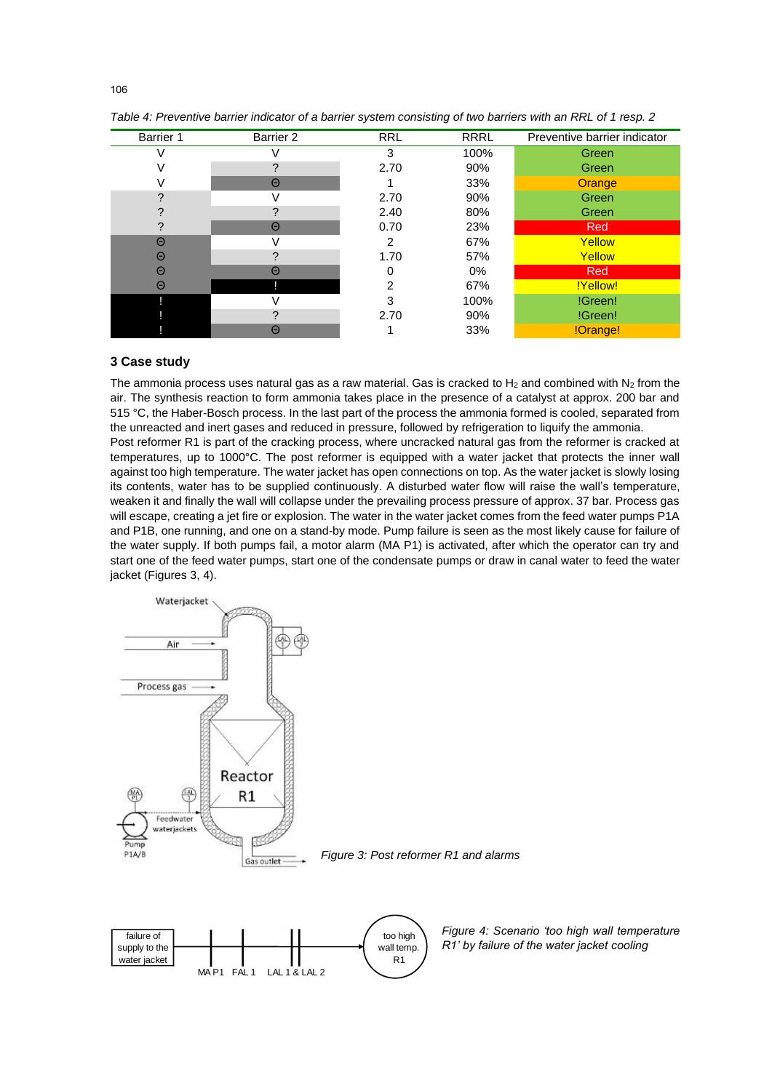| <b>Barrier 1</b> | Barrier 2 | <b>RRL</b> | <b>RRRL</b> | Preventive barrier indicator |
|------------------|-----------|------------|-------------|------------------------------|
|                  |           | 3          | 100%        | Green                        |
|                  |           | 2.70       | 90%         | Green                        |
|                  | Θ         |            | 33%         | Orange                       |
|                  |           | 2.70       | 90%         | Green                        |
|                  |           | 2.40       | 80%         | Green                        |
|                  | $\Theta$  | 0.70       | 23%         | Red                          |
| Θ                |           | 2          | 67%         | Yellow                       |
| Θ                |           | 1.70       | 57%         | Yellow                       |
| $\Theta$         | $\Theta$  |            | 0%          | Red                          |
| Θ                |           | 2          | 67%         | !Yellow!                     |
|                  |           | з          | 100%        | !Green!                      |
|                  |           | 2.70       | 90%         | !Green!                      |
|                  | Θ         |            | 33%         | !Orange!                     |

*Table 4: Preventive barrier indicator of a barrier system consisting of two barriers with an RRL of 1 resp. 2*

#### **3 Case study**

The ammonia process uses natural gas as a raw material. Gas is cracked to  $H_2$  and combined with  $N_2$  from the air. The synthesis reaction to form ammonia takes place in the presence of a catalyst at approx. 200 bar and 515 °C, the Haber-Bosch process. In the last part of the process the ammonia formed is cooled, separated from the unreacted and inert gases and reduced in pressure, followed by refrigeration to liquify the ammonia. Post reformer R1 is part of the cracking process, where uncracked natural gas from the reformer is cracked at temperatures, up to 1000°C. The post reformer is equipped with a water jacket that protects the inner wall against too high temperature. The water jacket has open connections on top. As the water jacket is slowly losing its contents, water has to be supplied continuously. A disturbed water flow will raise the wall's temperature, weaken it and finally the wall will collapse under the prevailing process pressure of approx. 37 bar. Process gas will escape, creating a jet fire or explosion. The water in the water jacket comes from the feed water pumps P1A and P1B, one running, and one on a stand-by mode. Pump failure is seen as the most likely cause for failure of the water supply. If both pumps fail, a motor alarm (MA P1) is activated, after which the operator can try and start one of the feed water pumps, start one of the condensate pumps or draw in canal water to feed the water jacket (Figures 3, 4).



*Figure 4: Scenario 'too high wall temperature R1' by failure of the water jacket cooling*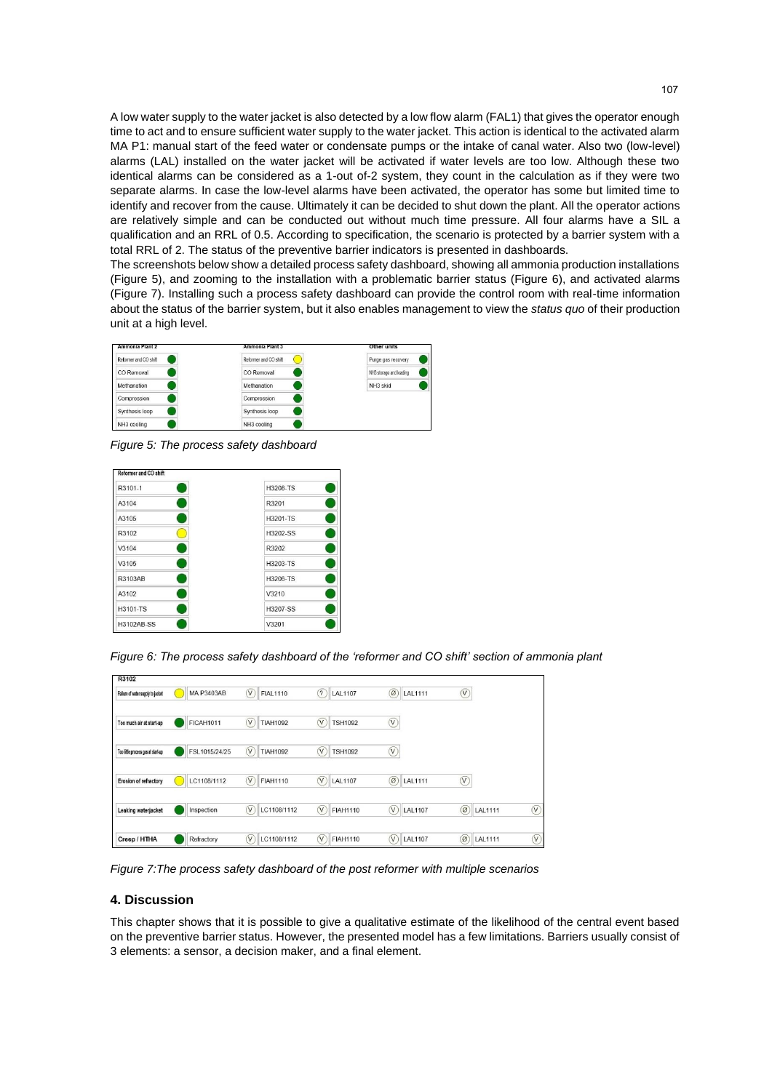A low water supply to the water jacket is also detected by a low flow alarm (FAL1) that gives the operator enough time to act and to ensure sufficient water supply to the water jacket. This action is identical to the activated alarm MA P1: manual start of the feed water or condensate pumps or the intake of canal water. Also two (low-level) alarms (LAL) installed on the water jacket will be activated if water levels are too low. Although these two identical alarms can be considered as a 1-out of-2 system, they count in the calculation as if they were two separate alarms. In case the low-level alarms have been activated, the operator has some but limited time to identify and recover from the cause. Ultimately it can be decided to shut down the plant. All the operator actions are relatively simple and can be conducted out without much time pressure. All four alarms have a SIL a qualification and an RRL of 0.5. According to specification, the scenario is protected by a barrier system with a total RRL of 2. The status of the preventive barrier indicators is presented in dashboards.

The screenshots below show a detailed process safety dashboard, showing all ammonia production installations (Figure 5), and zooming to the installation with a problematic barrier status (Figure 6), and activated alarms (Figure 7). Installing such a process safety dashboard can provide the control room with real-time information about the status of the barrier system, but it also enables management to view the *status quo* of their production unit at a high level.



*Figure 5: The process safety dashboard*

| R3101-1           | H3208-TS | 8 |
|-------------------|----------|---|
| A3104             | R3201    | Ī |
| A3105             | H3201-TS | Ξ |
| R3102             | H3202-SS | B |
| V3104             | R3202    | C |
| V3105             | H3203-TS | 3 |
| R3103AB           | H3206-TS | Ω |
| A3102             | V3210    | ŋ |
| H3101-TS          | H3207-SS |   |
| <b>H3102AB-SS</b> | V3201    |   |

*Figure 6: The process safety dashboard of the 'reformer and CO shift' section of ammonia plant*

| R3102                              |                   |                                            |                              |                                  |                                      |                        |
|------------------------------------|-------------------|--------------------------------------------|------------------------------|----------------------------------|--------------------------------------|------------------------|
| Failure of water supply to jacket  | <b>MA P3403AB</b> | (V<br><b>FIAL1110</b>                      | (2)<br><b>LAL1107</b>        | Ø<br>LAL1111                     | $\left(\overline{\mathsf{V}}\right)$ |                        |
| Too much air at start-up           | <b>FICAH1011</b>  | $\overline{\mathsf{v}}$<br><b>TIAH1092</b> | $\sqrt{V}$<br><b>TSH1092</b> | $^\mathbb{V}$                    |                                      |                        |
| Too little process gas at start-up | FSL1015/24/25     | $\sqrt{2}$<br><b>TIAH1092</b>              | $\sqrt{v}$<br><b>TSH1092</b> | $\circledv$                      |                                      |                        |
| Erosion of refractory              | LC1108/1112       | $\sqrt{2}$<br><b>FIAH1110</b>              | $(\vee)$<br><b>LAL1107</b>   | $\circledcirc$<br><b>LAL1111</b> | (V)                                  |                        |
| Leaking waterjacket                | Inspection        | $\widehat{\mathsf{v}}$<br>LC1108/1112      | $\sqrt{V}$<br>FIAH1110       | $(\sqrt{2})$<br>LAL1107          | $\circledcirc$<br>LAL1111            | $\widehat{\mathsf{V}}$ |
| Creep / HTHA                       | Refractory        | $\alpha$<br>LC1108/1112                    | (V<br><b>FIAH1110</b>        | $\mathsf{V}$<br><b>LAL1107</b>   | $\circ$<br><b>LAL1111</b>            | $\widehat{\mathsf{V}}$ |

*Figure 7:The process safety dashboard of the post reformer with multiple scenarios*

#### **4. Discussion**

This chapter shows that it is possible to give a qualitative estimate of the likelihood of the central event based on the preventive barrier status. However, the presented model has a few limitations. Barriers usually consist of 3 elements: a sensor, a decision maker, and a final element.